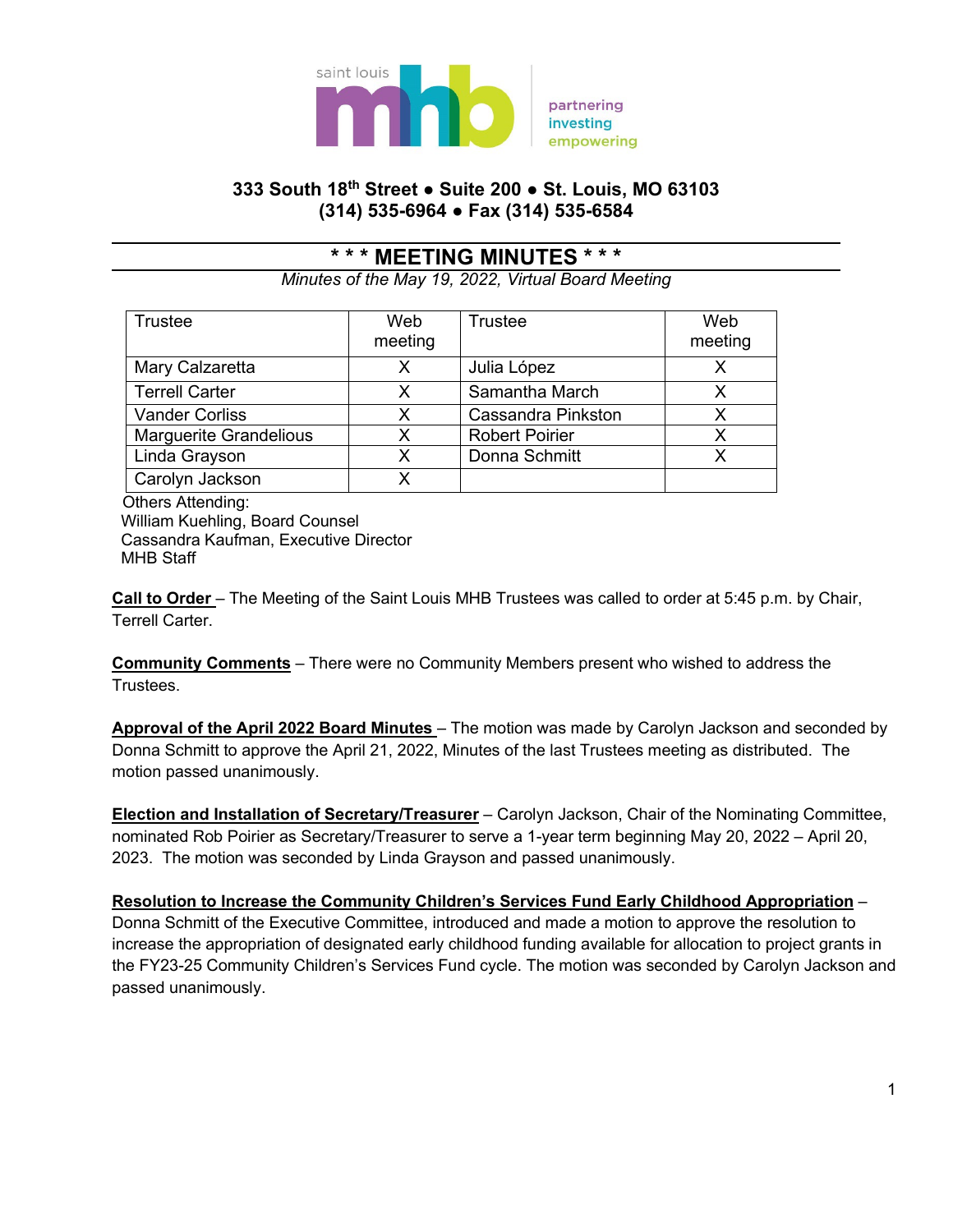

## **333 South 18th Street ● Suite 200 ● St. Louis, MO 63103 (314) 535-6964 ● Fax (314) 535-6584**

## **\* \* \* MEETING MINUTES \* \* \***

*Minutes of the May 19, 2022, Virtual Board Meeting*

| <b>Trustee</b>                | Web<br>meeting | <b>Trustee</b>            | Web<br>meeting |
|-------------------------------|----------------|---------------------------|----------------|
| Mary Calzaretta               | X              | Julia López               |                |
| <b>Terrell Carter</b>         | X              | Samantha March            |                |
| <b>Vander Corliss</b>         | х              | <b>Cassandra Pinkston</b> |                |
| <b>Marguerite Grandelious</b> | х              | <b>Robert Poirier</b>     |                |
| Linda Grayson                 | x              | Donna Schmitt             |                |
| Carolyn Jackson               |                |                           |                |

 Others Attending: William Kuehling, Board Counsel Cassandra Kaufman, Executive Director MHB Staff

**Call to Order** – The Meeting of the Saint Louis MHB Trustees was called to order at 5:45 p.m. by Chair, Terrell Carter.

**Community Comments** – There were no Community Members present who wished to address the Trustees.

**Approval of the April 2022 Board Minutes** – The motion was made by Carolyn Jackson and seconded by Donna Schmitt to approve the April 21, 2022, Minutes of the last Trustees meeting as distributed. The motion passed unanimously.

**Election and Installation of Secretary/Treasurer** – Carolyn Jackson, Chair of the Nominating Committee, nominated Rob Poirier as Secretary/Treasurer to serve a 1-year term beginning May 20, 2022 – April 20, 2023. The motion was seconded by Linda Grayson and passed unanimously.

**Resolution to Increase the Community Children's Services Fund Early Childhood Appropriation** *–* Donna Schmitt of the Executive Committee, introduced and made a motion to approve the resolution to increase the appropriation of designated early childhood funding available for allocation to project grants in the FY23-25 Community Children's Services Fund cycle. The motion was seconded by Carolyn Jackson and passed unanimously.